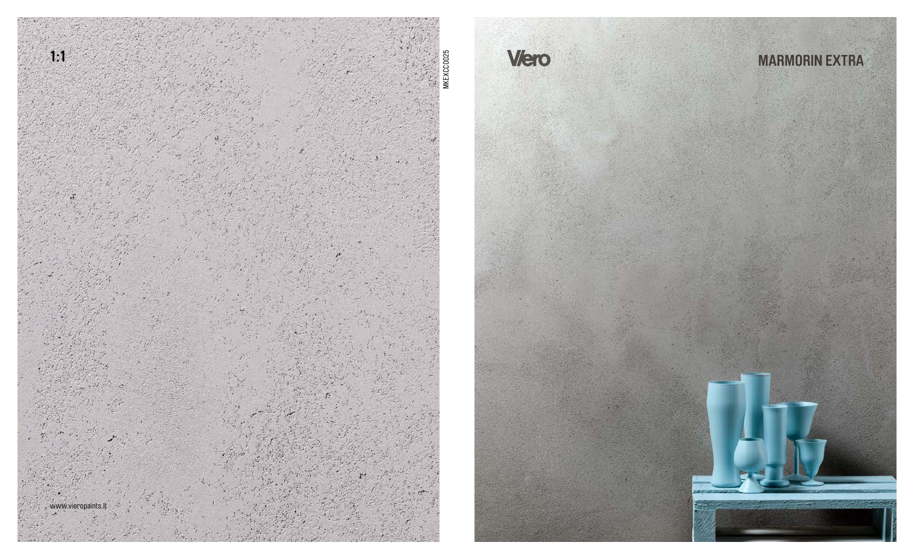



## **MARMORIN EXTRA**